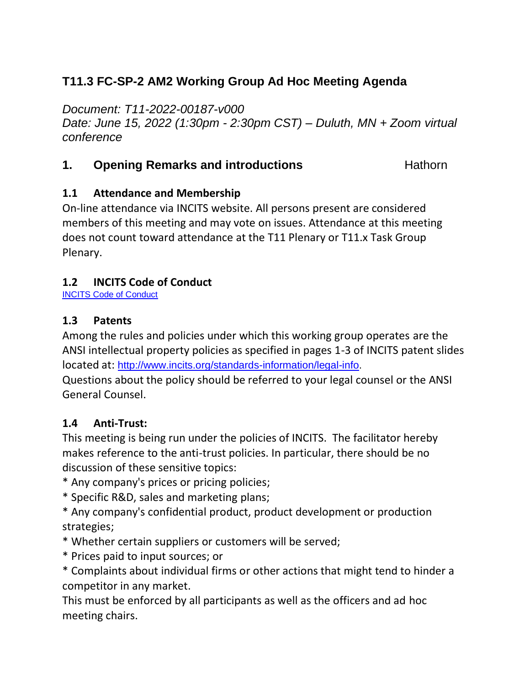# **T11.3 FC-SP-2 AM2 Working Group Ad Hoc Meeting Agenda**

*Document: T11-2022-00187-v000 Date: June 15, 2022 (1:30pm - 2:30pm CST) – Duluth, MN + Zoom virtual conference*

## **1. Opening Remarks and introductions Hathorn**

#### **1.1 Attendance and Membership**

On-line attendance via INCITS website. All persons present are considered members of this meeting and may vote on issues. Attendance at this meeting does not count toward attendance at the T11 Plenary or T11.x Task Group Plenary.

#### **1.2 INCITS Code of Conduct**

[INCITS Code of Conduct](https://standards.incits.org/apps/group_public/download.php/127632/eb-2021-00111-INCITS%20Code%20of%20Conduct.pdf)

#### **1.3 Patents**

Among the rules and policies under which this working group operates are the ANSI intellectual property policies as specified in pages 1-3 of INCITS patent slides located at: [http://www.incits.org/standards-information/legal-info.](http://www.incits.org/standards-information/legal-info)

Questions about the policy should be referred to your legal counsel or the ANSI General Counsel.

## **1.4 Anti-Trust:**

This meeting is being run under the policies of INCITS. The facilitator hereby makes reference to the anti-trust policies. In particular, there should be no discussion of these sensitive topics:

- \* Any company's prices or pricing policies;
- \* Specific R&D, sales and marketing plans;
- \* Any company's confidential product, product development or production strategies;
- \* Whether certain suppliers or customers will be served;
- \* Prices paid to input sources; or
- \* Complaints about individual firms or other actions that might tend to hinder a competitor in any market.

This must be enforced by all participants as well as the officers and ad hoc meeting chairs.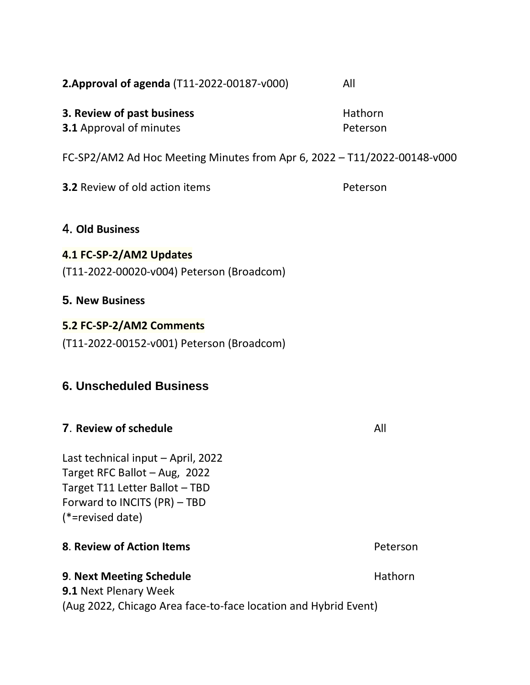| 2. Approval of agenda (T11-2022-00187-v000)                                                                                                               | All                 |
|-----------------------------------------------------------------------------------------------------------------------------------------------------------|---------------------|
| 3. Review of past business<br><b>3.1 Approval of minutes</b>                                                                                              | Hathorn<br>Peterson |
| FC-SP2/AM2 Ad Hoc Meeting Minutes from Apr 6, 2022 - T11/2022-00148-v000                                                                                  |                     |
| <b>3.2 Review of old action items</b>                                                                                                                     | Peterson            |
| 4. Old Business                                                                                                                                           |                     |
| 4.1 FC-SP-2/AM2 Updates<br>(T11-2022-00020-v004) Peterson (Broadcom)                                                                                      |                     |
| <b>5. New Business</b>                                                                                                                                    |                     |
| 5.2 FC-SP-2/AM2 Comments<br>(T11-2022-00152-v001) Peterson (Broadcom)                                                                                     |                     |
| <b>6. Unscheduled Business</b>                                                                                                                            |                     |
| 7. Review of schedule                                                                                                                                     | All                 |
| Last technical input - April, 2022<br>Target RFC Ballot - Aug, 2022<br>Target T11 Letter Ballot - TBD<br>Forward to INCITS (PR) - TBD<br>(*=revised date) |                     |
| 8. Review of Action Items                                                                                                                                 | Peterson            |
| 9. Next Meeting Schedule<br><b>9.1 Next Plenary Week</b><br>(Aug 2022, Chicago Area face-to-face location and Hybrid Event)                               | Hathorn             |